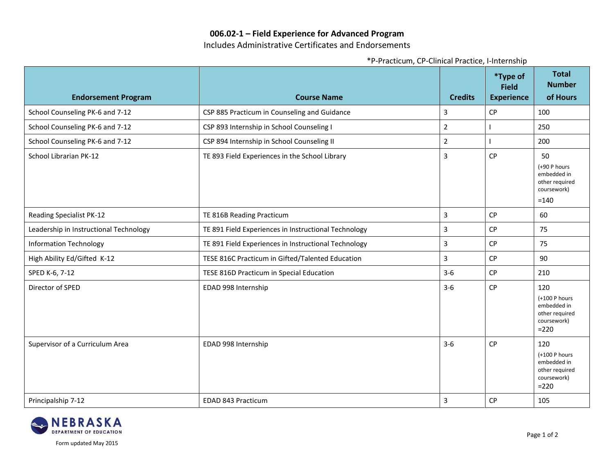## **006.02-1 – Field Experience for Advanced Program**

Includes Administrative Certificates and Endorsements

| <b>Endorsement Program</b>             | <b>Course Name</b>                                   | <b>Credits</b> | <i>*</i> Type of<br><b>Field</b><br><b>Experience</b> | <b>Total</b><br><b>Number</b><br>of Hours                                       |
|----------------------------------------|------------------------------------------------------|----------------|-------------------------------------------------------|---------------------------------------------------------------------------------|
| School Counseling PK-6 and 7-12        | CSP 885 Practicum in Counseling and Guidance         | 3              | <b>CP</b>                                             | 100                                                                             |
| School Counseling PK-6 and 7-12        | CSP 893 Internship in School Counseling I            | $\mathbf 2$    |                                                       | 250                                                                             |
| School Counseling PK-6 and 7-12        | CSP 894 Internship in School Counseling II           | $\overline{2}$ |                                                       | 200                                                                             |
| School Librarian PK-12                 | TE 893 Field Experiences in the School Library       | 3              | <b>CP</b>                                             | 50<br>(+90 P hours<br>embedded in<br>other required<br>coursework)<br>$=140$    |
| <b>Reading Specialist PK-12</b>        | TE 816B Reading Practicum                            | $\mathbf{3}$   | CP                                                    | 60                                                                              |
| Leadership in Instructional Technology | TE 891 Field Experiences in Instructional Technology | 3              | <b>CP</b>                                             | 75                                                                              |
| <b>Information Technology</b>          | TE 891 Field Experiences in Instructional Technology | 3              | <b>CP</b>                                             | 75                                                                              |
| High Ability Ed/Gifted K-12            | TESE 816C Practicum in Gifted/Talented Education     | 3              | CP                                                    | 90                                                                              |
| SPED K-6, 7-12                         | TESE 816D Practicum in Special Education             | $3-6$          | CP                                                    | 210                                                                             |
| Director of SPED                       | EDAD 998 Internship                                  | $3-6$          | <b>CP</b>                                             | 120<br>(+100 P hours<br>embedded in<br>other required<br>coursework)<br>$= 220$ |
| Supervisor of a Curriculum Area        | EDAD 998 Internship                                  | $3-6$          | <b>CP</b>                                             | 120<br>(+100 P hours<br>embedded in<br>other required<br>coursework)<br>$= 220$ |
| Principalship 7-12                     | EDAD 843 Practicum                                   | $\overline{3}$ | <b>CP</b>                                             | 105                                                                             |

\*P-Practicum, CP-Clinical Practice, I-Internship